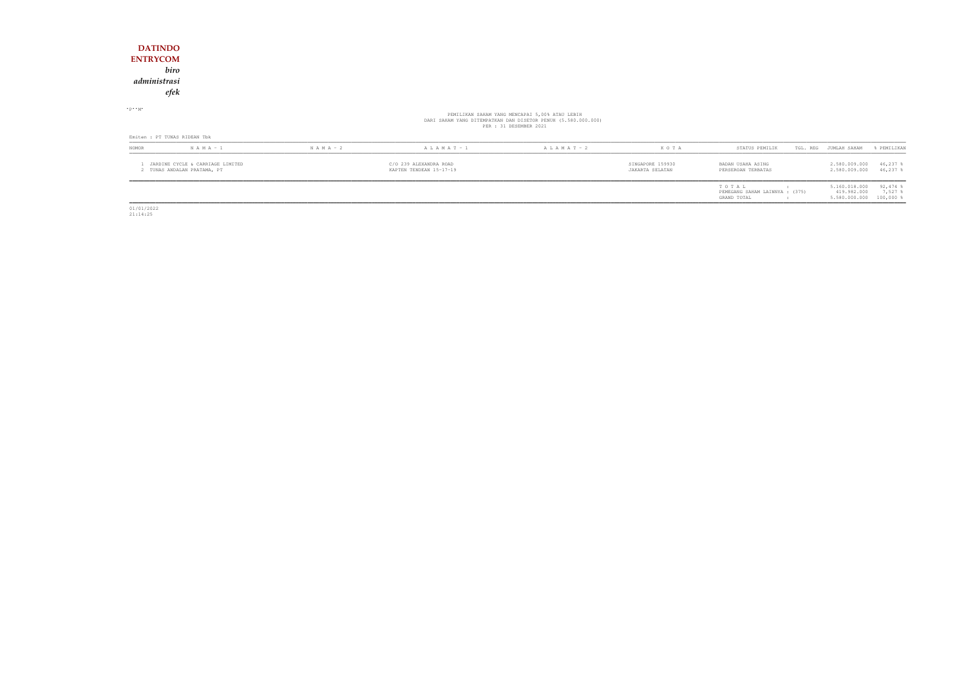|                                   |                              |               |                 |                                                                                                                                           |      |                |                       | 0 500 900 900 15 000 0 |
|-----------------------------------|------------------------------|---------------|-----------------|-------------------------------------------------------------------------------------------------------------------------------------------|------|----------------|-----------------------|------------------------|
| <b>NOMOR</b>                      | $N A M A - 1$                | $N A M A - 2$ | A L A M A T - 1 | A L A M A T - 2                                                                                                                           | KOTA | STATUS PEMILIK | TGL. REG JUMLAH SAHAM | % PEMILIKAN            |
|                                   | Emiten : PT TUNAS RIDEAN Tbk |               |                 |                                                                                                                                           |      |                |                       |                        |
|                                   |                              |               |                 | PEMILIKAN SAHAM YANG MENCAPAI 5,00% ATAU LEBIH<br>DARI SAHAM YANG DITEMPATKAN DAN DISETOR PENUH (5.580.000.000)<br>PER : 31 DESEMBER 2021 |      |                |                       |                        |
| $P - M$                           |                              |               |                 |                                                                                                                                           |      |                |                       |                        |
|                                   | efek                         |               |                 |                                                                                                                                           |      |                |                       |                        |
| administrasi                      |                              |               |                 |                                                                                                                                           |      |                |                       |                        |
|                                   | biro                         |               |                 |                                                                                                                                           |      |                |                       |                        |
| <b>DATINDO</b><br><b>ENTRYCOM</b> |                              |               |                 |                                                                                                                                           |      |                |                       |                        |
|                                   |                              |               |                 |                                                                                                                                           |      |                |                       |                        |

| NOMOR | $N A M A - 1$                                                 | $N A M A - 2$ | $A L A M A T - 1$                                 | $A L A M A T - 2$ | K O T A                             | STATUS PEMILIK                                         | TGL. REG JUMLAH SAHAM                                   | FEMILIKAN                 |
|-------|---------------------------------------------------------------|---------------|---------------------------------------------------|-------------------|-------------------------------------|--------------------------------------------------------|---------------------------------------------------------|---------------------------|
|       | JARDINE CYCLE & CARRIAGE LIMITED<br>TUNAS ANDALAN PRATAMA, PT |               | C/O 239 ALEXANDRA ROAD<br>KAPTEN TENDEAN 15-17-19 |                   | SINGAPORE 159930<br>JAKARTA SELATAN | BADAN USAHA ASING<br>PERSEROAN TERBATAS                | 2.580.009.000<br>2.580.009.000                          | $46,237$ \$<br>$46,237$ % |
|       |                                                               |               |                                                   |                   |                                     | TOTAL<br>PEMEGANG SAHAM LAINNYA : (375)<br>GRAND TOTAL | 5.160.018.000<br>419.982.000<br>5.580.000.000 100,000 % | $92,474$ %<br>7,527       |

01/01/2022 21:14:25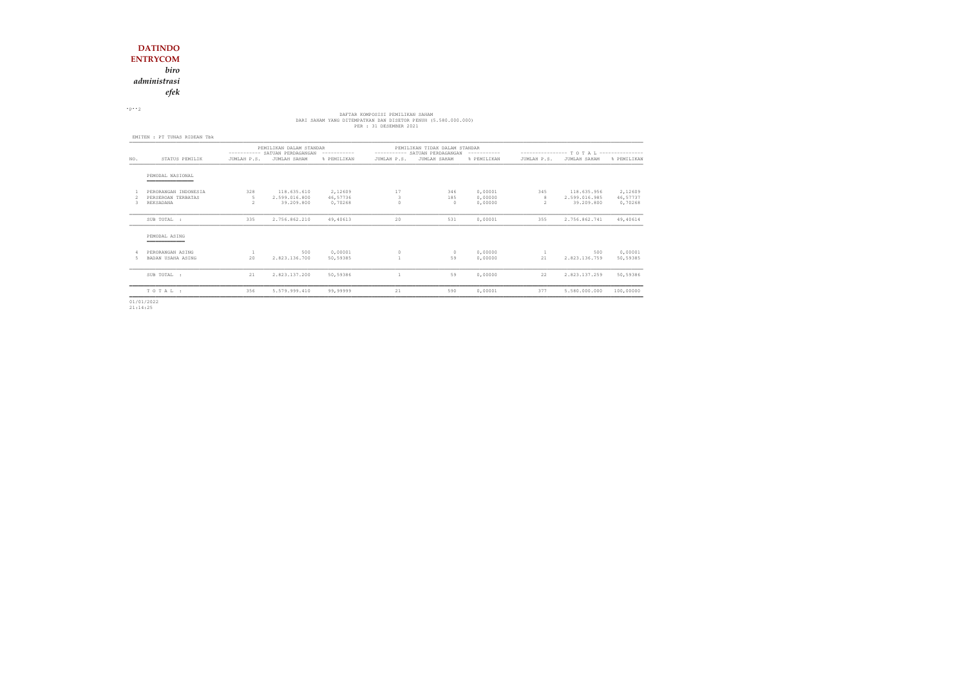*administrasi*

*efek*

 $\cdot$  P $\cdot$  2

# DAFTAR KOMPOSISI PEMILIKAN SAHAM<br>DARI SAHAM YANG DITEMPATKAN DAN DISETOR PENUH (5.580.000.000)<br>PER : 31 DESEMBER 2021

|     |                                                         | PEMILIKAN DALAM STANDAR<br>---------- SATUAN PERDAGANGAN<br>----------- |                                            |                                |             | PEMILIKAN TIDAK DALAM STANDAR<br>---------- SATUAN PERDAGANGAN | ------------                  | ---------------- T O T A L --------------- |                                            |                                |  |
|-----|---------------------------------------------------------|-------------------------------------------------------------------------|--------------------------------------------|--------------------------------|-------------|----------------------------------------------------------------|-------------------------------|--------------------------------------------|--------------------------------------------|--------------------------------|--|
| NO. | STATUS PEMILIK                                          | JUMLAH P.S.                                                             | JUMLAH SAHAM                               | % PEMILIKAN                    | JUMLAH P.S. | JUMLAH SAHAM                                                   | % PEMILIKAN                   | JUMLAH P.S.                                | JUMLAH SAHAM                               | % PEMILIKAN                    |  |
|     | PEMODAL NASIONAL<br>_______________                     |                                                                         |                                            |                                |             |                                                                |                               |                                            |                                            |                                |  |
| 3.  | PERORANGAN INDONESIA<br>PERSEROAN TERBATAS<br>REKSADANA | 328<br>5<br>$\mathfrak{D}$                                              | 118.635.610<br>2.599.016.800<br>39,209,800 | 2,12609<br>46,57736<br>0,70268 | 17<br>3     | 346<br>185<br>$\cap$                                           | 0,00001<br>0,00000<br>0,00000 | 345<br>8<br>2                              | 118.635.956<br>2.599.016.985<br>39,209,800 | 2,12609<br>46,57737<br>0,70268 |  |
|     | SUB TOTAL :                                             | 335                                                                     | 2.756.862.210                              | 49,40613                       | 20          | 531                                                            | 0,00001                       | 355                                        | 2.756.862.741                              | 49,40614                       |  |
|     | PEMODAL ASING                                           |                                                                         |                                            |                                |             |                                                                |                               |                                            |                                            |                                |  |
| 5   | PERORANGAN ASING<br>BADAN USAHA ASING                   | 20                                                                      | 500<br>2.823.136.700                       | 0,00001<br>50,59385            |             | $\Omega$<br>59                                                 | 0,00000<br>0,00000            | 21                                         | 500<br>2.823.136.759                       | 0,00001<br>50,59385            |  |
|     | SUB TOTAL :                                             | 21                                                                      | 2.823.137.200                              | 50,59386                       |             | 59                                                             | 0,00000                       | 22                                         | 2.823.137.259                              | 50,59386                       |  |
|     | TOTAL:                                                  | 356                                                                     | 5.579.999.410                              | 99,99999                       | 21          | 590                                                            | 0,00001                       | 377                                        | 5.580.000.000                              | 100,00000                      |  |

01/01/2022 21:14:25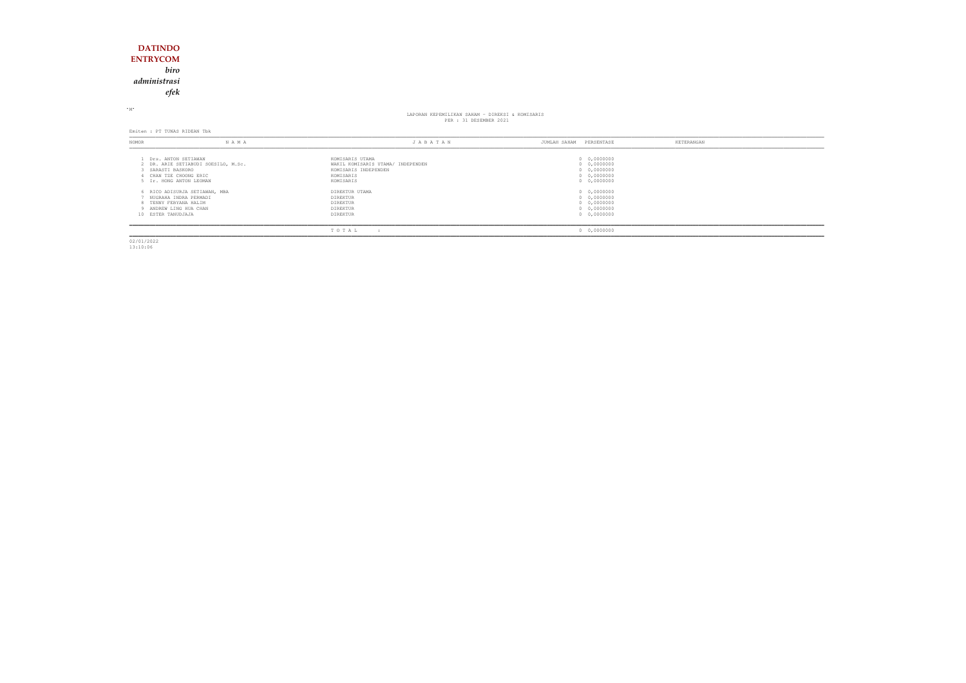### **DATINDO ENTRYCOM** *biroadministrasi*

*efek*

<sup>M</sup>

## LAPORAN KEPEMILIKAN SAHAM KEPEMILIKAN SAHAM - DIREKSI & KOMISARIS<br>PER : 31 DESEMBER 2021

Emiten : PT TUNAS RIDEAN Tbk

| NOMOR | NAMA                                                                                                                               | JABATAN                                                                                                | JUMLAH SAHAM | PERSENTASE                                                                      | KETERANGAN |
|-------|------------------------------------------------------------------------------------------------------------------------------------|--------------------------------------------------------------------------------------------------------|--------------|---------------------------------------------------------------------------------|------------|
|       | 1 Drs. ANTON SETIAWAN<br>2 DR. ARIE SETIABUDI SOESILO, M.Sc.<br>SARASTI BASKORO<br>CHAN TZE CHOONG ERIC<br>5 Ir. HONG ANTON LEOMAN | KOMISARIS UTAMA<br>WAKIL KOMISARIS UTAMA/ INDEPENDEN<br>KOMISARIS INDEPENDEN<br>KOMISARIS<br>KOMISARIS |              | 0 0,0000000<br>0 0,0000000<br>0 0,0000000<br>$0 \quad 0,0000000$<br>0 0,0000000 |            |
|       | 6 RICO ADISURJA SETIAWAN, MBA<br>NUGRAHA INDRA PERMADI<br>8 TENNY FEBYANA HALIM<br>9 ANDREW LING HUA CHAN<br>10 ESTER TANUDJAJA    | DIREKTUR UTAMA<br>DIREKTUR<br>DIREKTUR<br>DIREKTUR<br>DIREKTUR                                         |              | 0 0,0000000<br>0 0,0000000<br>0 0,0000000<br>$0 \quad 0,0000000$<br>0 0,0000000 |            |
|       |                                                                                                                                    | TOTAL                                                                                                  |              | 0 0,0000000                                                                     |            |

02/01/2022 13:10:06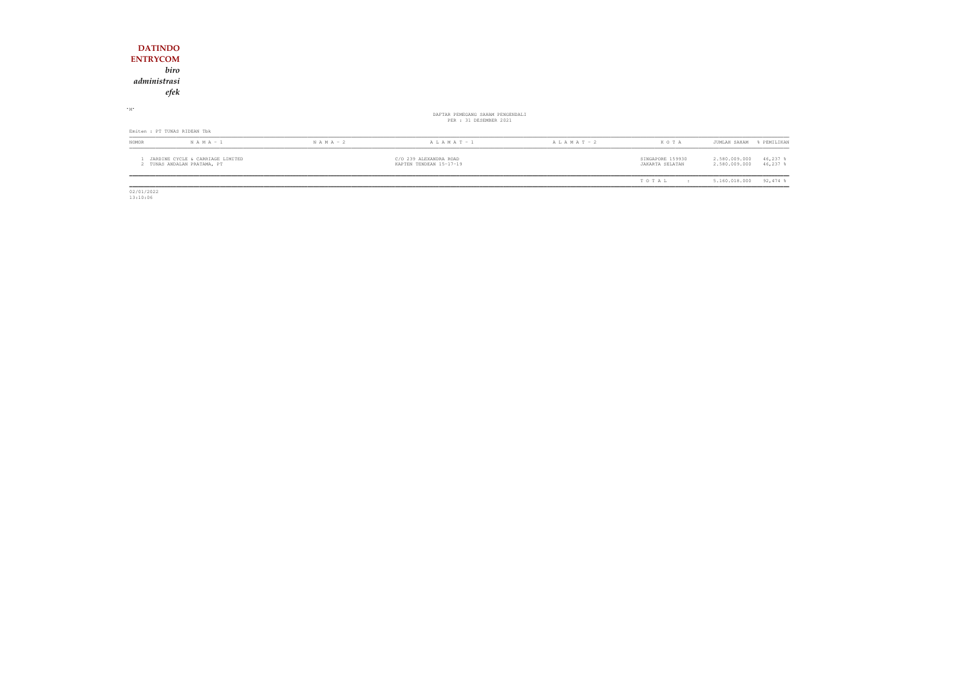| <b>DATINDO</b><br><b>ENTRYCOM</b><br>biro                       |               |                                                            |                 |                                     |                                                            |
|-----------------------------------------------------------------|---------------|------------------------------------------------------------|-----------------|-------------------------------------|------------------------------------------------------------|
| administrasi<br>efek                                            |               |                                                            |                 |                                     |                                                            |
| $\cdot$ M $\cdot$                                               |               | DAFTAR PEMEGANG SAHAM PENGENDALI<br>PER : 31 DESEMBER 2021 |                 |                                     |                                                            |
| Emiten : PT TUNAS RIDEAN Tbk                                    |               |                                                            |                 |                                     |                                                            |
| NOMOR<br>$N A M A - 1$                                          | $N$ A M A - 2 | $A L A M A T - 1$                                          | A L A M A T - 2 | KOTA                                | JUMLAH SAHAM<br>% PEMILIKAN                                |
| JARDINE CYCLE & CARRIAGE LIMITED<br>2 TUNAS ANDALAN PRATAMA, PT |               | C/O 239 ALEXANDRA ROAD<br>KAPTEN TENDEAN 15-17-19          |                 | SINGAPORE 159930<br>JAKARTA SELATAN | 2.580.009.000<br>$46,237$ %<br>2.580.009.000<br>$46,237$ % |
|                                                                 |               |                                                            |                 | TOTAL<br>$\cdot$ :                  | $92,474$ %<br>5.160.018.000                                |

 $\begin{array}{r} \hline \hline 02/01/2022 \\ 13:10:06 \end{array}$